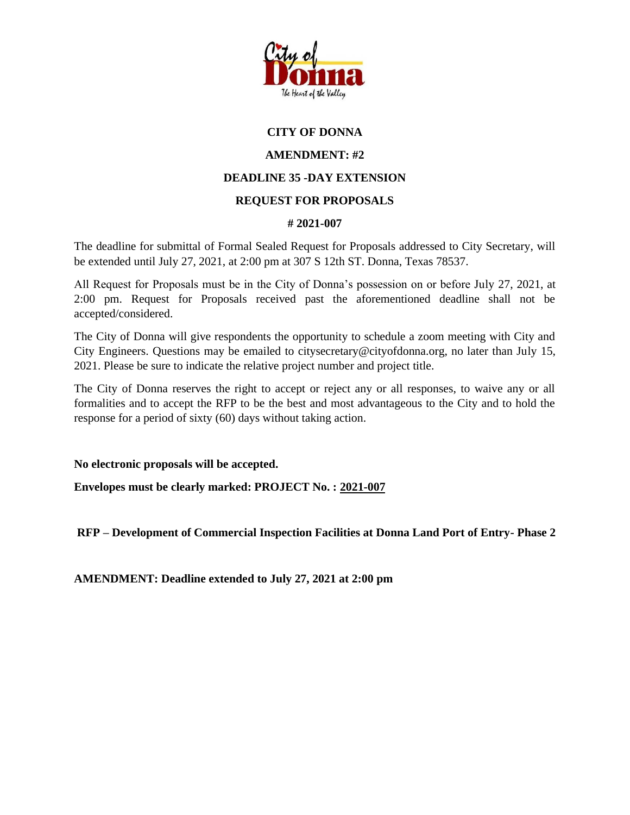

## **CITY OF DONNA**

## **AMENDMENT: #2**

## **DEADLINE 35 -DAY EXTENSION**

## **REQUEST FOR PROPOSALS**

#### **# 2021-007**

The deadline for submittal of Formal Sealed Request for Proposals addressed to City Secretary, will be extended until July 27, 2021, at 2:00 pm at 307 S 12th ST. Donna, Texas 78537.

All Request for Proposals must be in the City of Donna's possession on or before July 27, 2021, at 2:00 pm. Request for Proposals received past the aforementioned deadline shall not be accepted/considered.

The City of Donna will give respondents the opportunity to schedule a zoom meeting with City and City Engineers. Questions may be emailed to citysecretary@cityofdonna.org, no later than July 15, 2021. Please be sure to indicate the relative project number and project title.

The City of Donna reserves the right to accept or reject any or all responses, to waive any or all formalities and to accept the RFP to be the best and most advantageous to the City and to hold the response for a period of sixty (60) days without taking action.

**No electronic proposals will be accepted.**

**Envelopes must be clearly marked: PROJECT No. : 2021-007**

**RFP – Development of Commercial Inspection Facilities at Donna Land Port of Entry- Phase 2**

**AMENDMENT: Deadline extended to July 27, 2021 at 2:00 pm**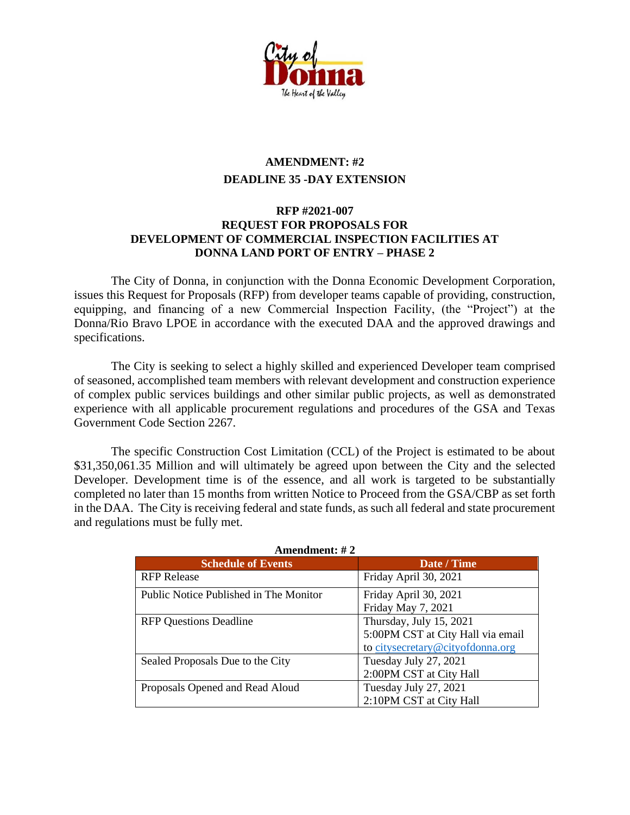

# **AMENDMENT: #2 DEADLINE 35 -DAY EXTENSION**

#### **RFP #2021-007 REQUEST FOR PROPOSALS FOR DEVELOPMENT OF COMMERCIAL INSPECTION FACILITIES AT DONNA LAND PORT OF ENTRY – PHASE 2**

The City of Donna, in conjunction with the Donna Economic Development Corporation, issues this Request for Proposals (RFP) from developer teams capable of providing, construction, equipping, and financing of a new Commercial Inspection Facility, (the "Project") at the Donna/Rio Bravo LPOE in accordance with the executed DAA and the approved drawings and specifications.

The City is seeking to select a highly skilled and experienced Developer team comprised of seasoned, accomplished team members with relevant development and construction experience of complex public services buildings and other similar public projects, as well as demonstrated experience with all applicable procurement regulations and procedures of the GSA and Texas Government Code Section 2267.

The specific Construction Cost Limitation (CCL) of the Project is estimated to be about \$31,350,061.35 Million and will ultimately be agreed upon between the City and the selected Developer. Development time is of the essence, and all work is targeted to be substantially completed no later than 15 months from written Notice to Proceed from the GSA/CBP as set forth in the DAA. The City is receiving federal and state funds, as such all federal and state procurement and regulations must be fully met.

| лшенчисне $\pi$ 2                      |                                                                                                  |
|----------------------------------------|--------------------------------------------------------------------------------------------------|
| <b>Schedule of Events</b>              | Date / Time                                                                                      |
| <b>RFP</b> Release                     | Friday April 30, 2021                                                                            |
| Public Notice Published in The Monitor | Friday April 30, 2021<br>Friday May 7, 2021                                                      |
| <b>RFP Questions Deadline</b>          | Thursday, July 15, 2021<br>5:00PM CST at City Hall via email<br>to citysecretary@cityofdonna.org |
| Sealed Proposals Due to the City       | Tuesday July 27, 2021<br>2:00PM CST at City Hall                                                 |
| Proposals Opened and Read Aloud        | Tuesday July 27, 2021<br>2:10PM CST at City Hall                                                 |

**Amendment: # 2**